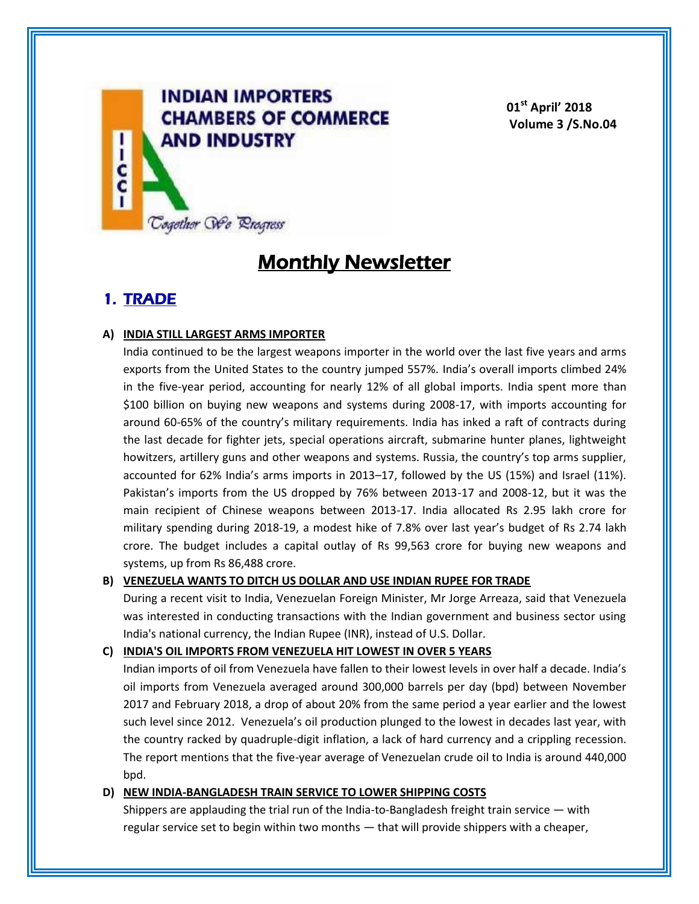

**01st April' 2018 Volume 3 /S.No.04**

# **Monthly Newsletter**

# **1. TRADE**

## **A) INDIA STILL LARGEST ARMS IMPORTER**

India continued to be the largest weapons importer in the world over the last five years and arms exports from the United States to the country jumped 557%. India's overall imports climbed 24% in the five-year period, accounting for nearly 12% of all global imports. India spent more than \$100 billion on buying new weapons and systems during 2008-17, with imports accounting for around 60-65% of the country's military requirements. India has inked a raft of contracts during the last decade for fighter jets, special operations aircraft, submarine hunter planes, lightweight howitzers, artillery guns and other weapons and systems. Russia, the country's top arms supplier, accounted for 62% India's arms imports in 2013–17, followed by the US (15%) and Israel (11%). Pakistan's imports from the US dropped by 76% between 2013-17 and 2008-12, but it was the main recipient of Chinese weapons between 2013-17. India allocated Rs 2.95 lakh crore for military spending during 2018-19, a modest hike of 7.8% over last year's budget of Rs 2.74 lakh crore. The budget includes a capital outlay of Rs 99,563 crore for buying new weapons and systems, up from Rs 86,488 crore.

## **B) VENEZUELA WANTS TO DITCH US DOLLAR AND USE INDIAN RUPEE FOR TRADE**

During a recent visit to India, Venezuelan Foreign Minister, Mr Jorge Arreaza, said that Venezuela was interested in conducting transactions with the Indian government and business sector using India's national currency, the Indian Rupee (INR), instead of U.S. Dollar.

**C) INDIA'S OIL IMPORTS FROM VENEZUELA HIT LOWEST IN OVER 5 YEARS**

Indian imports of oil from Venezuela have fallen to their lowest levels in over half a decade. India's oil imports from Venezuela averaged around 300,000 barrels per day (bpd) between November 2017 and February 2018, a drop of about 20% from the same period a year earlier and the lowest such level since 2012. Venezuela's oil production plunged to the lowest in decades last year, with the country racked by quadruple-digit inflation, a lack of hard currency and a crippling recession. The report mentions that the five-year average of Venezuelan crude oil to India is around 440,000 bpd.

### **D) NEW INDIA-BANGLADESH TRAIN SERVICE TO LOWER SHIPPING COSTS**

Shippers are applauding the trial run of the India-to-Bangladesh freight train service — with regular service set to begin within two months — that will provide shippers with a cheaper,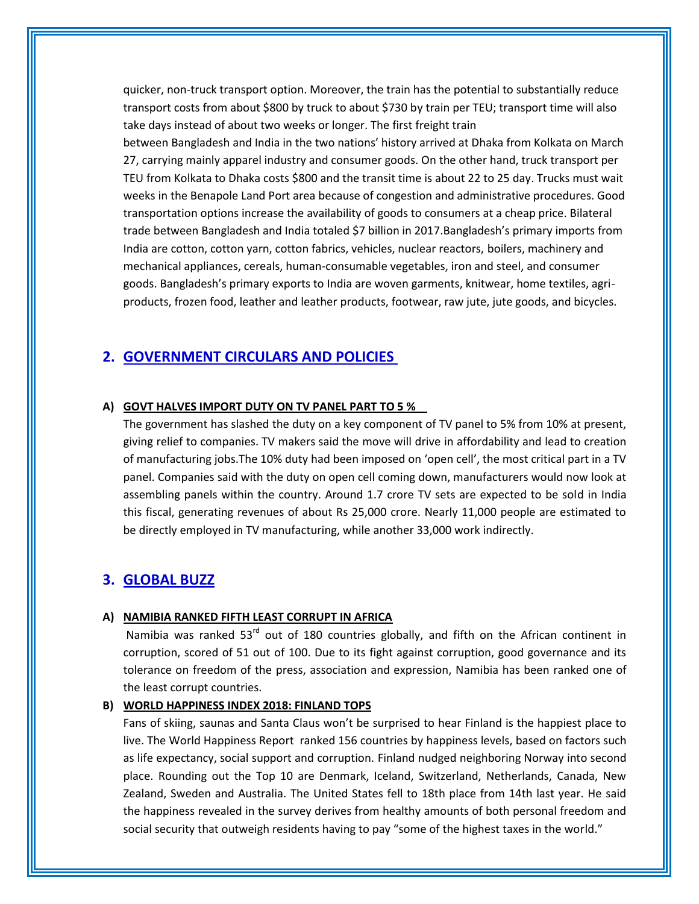quicker, non-truck transport option. Moreover, the train has the potential to substantially reduce transport costs from about \$800 by truck to about \$730 by train per TEU; transport time will also take days instead of about two weeks or longer. The first freight train

between Bangladesh and India in the two nations' history arrived at Dhaka from Kolkata on March 27, carrying mainly apparel industry and consumer goods. On the other hand, truck transport per TEU from Kolkata to Dhaka costs \$800 and the transit time is about 22 to 25 day. Trucks must wait weeks in the Benapole Land Port area because of congestion and administrative procedures. Good transportation options increase the availability of goods to consumers at a cheap price. Bilateral trade between Bangladesh and India totaled \$7 billion in 2017.Bangladesh's primary imports from India are cotton, cotton yarn, cotton fabrics, vehicles, nuclear reactors, boilers, machinery and mechanical appliances, cereals, human-consumable vegetables, iron and steel, and consumer goods. Bangladesh's primary exports to India are woven garments, knitwear, home textiles, agriproducts, frozen food, leather and leather products, footwear, raw jute, jute goods, and bicycles.

# **2. GOVERNMENT CIRCULARS AND POLICIES**

#### **A) GOVT HALVES IMPORT DUTY ON TV PANEL PART TO 5 %**

The government has slashed the duty on a key component of TV panel to 5% from 10% at present, giving relief to companies. TV makers said the move will drive in affordability and lead to creation of manufacturing jobs.The 10% duty had been imposed on 'open cell', the most critical part in a TV panel. Companies said with the duty on open cell coming down, manufacturers would now look at assembling panels within the country. Around 1.7 crore TV sets are expected to be sold in India this fiscal, generating revenues of about Rs 25,000 crore. Nearly 11,000 people are estimated to be directly employed in TV manufacturing, while another 33,000 work indirectly.

## **3. GLOBAL BUZZ**

#### **A) NAMIBIA RANKED FIFTH LEAST CORRUPT IN AFRICA**

Namibia was ranked  $53<sup>rd</sup>$  out of 180 countries globally, and fifth on the African continent in corruption, scored of 51 out of 100. Due to its fight against corruption, good governance and its tolerance on freedom of the press, association and expression, Namibia has been ranked one of the least corrupt countries.

#### **B) WORLD HAPPINESS INDEX 2018: FINLAND TOPS**

Fans of skiing, saunas and Santa Claus won't be surprised to hear Finland is the happiest place to live. The World Happiness Report ranked 156 countries by happiness levels, based on factors such as life expectancy, social support and corruption. Finland nudged neighboring Norway into second place. Rounding out the Top 10 are Denmark, Iceland, Switzerland, Netherlands, Canada, New Zealand, Sweden and Australia. The United States fell to 18th place from 14th last year. He said the happiness revealed in the survey derives from healthy amounts of both personal freedom and social security that outweigh residents having to pay "some of the highest taxes in the world."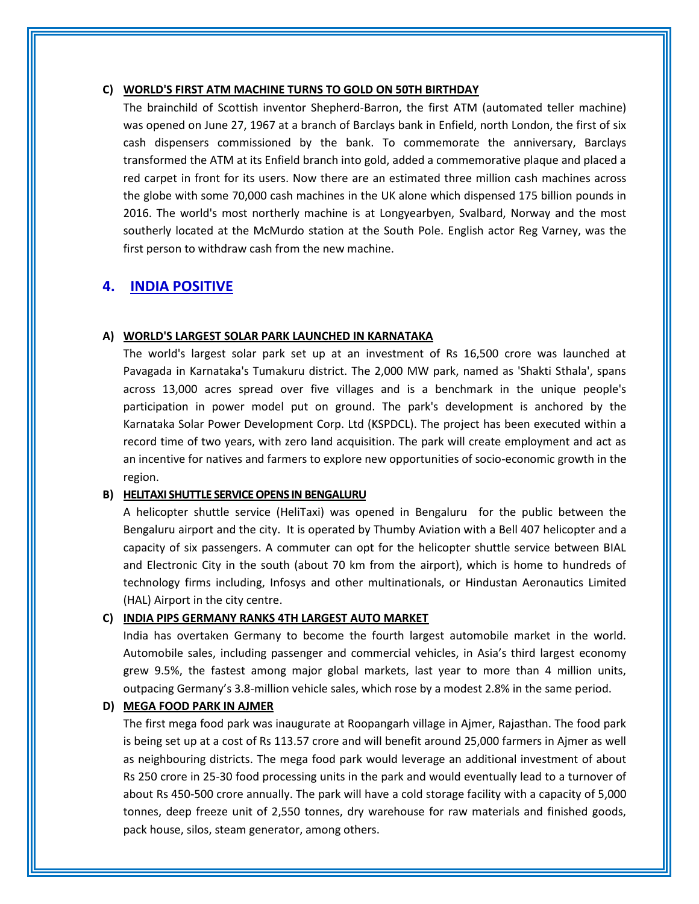#### **C) WORLD'S FIRST ATM MACHINE TURNS TO GOLD ON 50TH BIRTHDAY**

The brainchild of Scottish inventor Shepherd-Barron, the first ATM (automated teller machine) was opened on June 27, 1967 at a branch of Barclays bank in Enfield, north London, the first of six cash dispensers commissioned by the bank. To commemorate the anniversary, Barclays transformed the ATM at its Enfield branch into gold, added a commemorative plaque and placed a red carpet in front for its users. Now there are an estimated three million cash machines across the globe with some 70,000 cash machines in the UK alone which dispensed 175 billion pounds in 2016. The world's most northerly machine is at Longyearbyen, Svalbard, Norway and the most southerly located at the McMurdo station at the South Pole. English actor Reg Varney, was the first person to withdraw cash from the new machine.

# **4. INDIA POSITIVE**

#### **A) WORLD'S LARGEST SOLAR PARK LAUNCHED IN KARNATAKA**

The world's largest solar park set up at an investment of Rs 16,500 crore was launched at Pavagada in Karnataka's Tumakuru district. The 2,000 MW park, named as 'Shakti Sthala', spans across 13,000 acres spread over five villages and is a benchmark in the unique people's participation in power model put on ground. The park's development is anchored by the Karnataka Solar Power Development Corp. Ltd (KSPDCL). The project has been executed within a record time of two years, with zero land acquisition. The park will create employment and act as an incentive for natives and farmers to explore new opportunities of socio-economic growth in the region.

#### **B) HELITAXI SHUTTLE SERVICE OPENS IN BENGALURU**

A helicopter shuttle service (HeliTaxi) was opened in Bengaluru for the public between the Bengaluru airport and the city. It is operated by Thumby Aviation with a Bell 407 helicopter and a capacity of six passengers. A commuter can opt for the helicopter shuttle service between BIAL and Electronic City in the south (about 70 km from the airport), which is home to hundreds of technology firms including, Infosys and other multinationals, or Hindustan Aeronautics Limited (HAL) Airport in the city centre.

#### **C) INDIA PIPS GERMANY RANKS 4TH LARGEST AUTO MARKET**

India has overtaken Germany to become the fourth largest automobile market in the world. Automobile sales, including passenger and commercial vehicles, in Asia's third largest economy grew 9.5%, the fastest among major global markets, last year to more than 4 million units, outpacing Germany's 3.8-million vehicle sales, which rose by a modest 2.8% in the same period.

#### **D) MEGA FOOD PARK IN AJMER**

The first mega food park was inaugurate at Roopangarh village in Ajmer, Rajasthan. The food park is being set up at a cost of Rs 113.57 crore and will benefit around 25,000 farmers in Ajmer as well as neighbouring districts. The mega food park would leverage an additional investment of about Rs 250 crore in 25-30 food processing units in the park and would eventually lead to a turnover of about Rs 450-500 crore annually. The park will have a cold storage facility with a capacity of 5,000 tonnes, deep freeze unit of 2,550 tonnes, dry warehouse for raw materials and finished goods, pack house, silos, steam generator, among others.